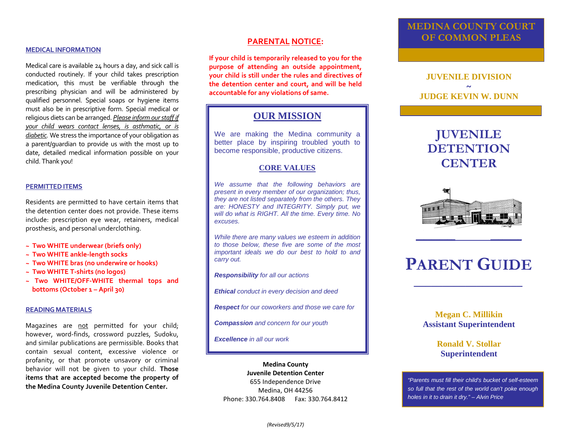## **MEDICAL INFORMATION**

Medical care is available 24 hours a day, and sick call is conducted routinely. If your child takes prescription medication, this must be verifiable through the prescribing physician and will be administered by qualified personnel. Special soaps or hygiene items must also be in prescriptive form. Special medical or religious diets can be arranged. *Please inform our staff if your child wears contact lenses, is asthmatic, or is diabetic.* We stress the importance of your obligation as a parent/guardian to provide us with the most up to date, detailed medical information possible on your child. Thank you!

#### **PERMITTED ITEMS**

Residents are permitted to have certain items that the detention center does not provide. These items include: prescription eye wear, retainers, medical prosthesis, and personal underclothing.

- **~ Two WHITE underwear (briefs only)**
- **~ Two WHITE ankle-length socks**
- **~ Two WHITE bras (no underwire or hooks)**
- **~ Two WHITE T-shirts (no logos)**
- **~ Two WHITE/OFF-WHITE thermal tops and bottoms (October 1 – April 30)**

## **READING MATERIALS**

Magazines are not permitted for your child; however, word-finds, crossword puzzles, Sudoku, and similar publications are permissible. Books that contain sexual content, excessive violence or profanity, or that promote unsavory or criminal behavior will not be given to your child. **Those items that are accepted become the property of the Medina County Juvenile Detention Center.**

## **PARENTAL NOTICE:**

**If your child is temporarily released to you for the purpose of attending an outside appointment, your child is still under the rules and directives of the detention center and court, and will be held accountable for any violations of same.**

## **OUR MISSION**

We are making the Medina community a better place by inspiring troubled youth to become responsible, productive citizens.

## **CORE VALUES**

*We assume that the following behaviors are present in every member of our organization; thus, they are not listed separately from the others. They are: HONESTY and INTEGRITY. Simply put, we will do what is RIGHT. All the time. Every time. No excuses.*

*While there are many values we esteem in addition to those below, these five are some of the most important ideals we do our best to hold to and carry out.*

*Responsibility for all our actions*

*Ethical conduct in every decision and deed*

*Respect for our coworkers and those we care for*

*Compassion and concern for our youth*

*Excellence in all our work*

**Medina County Juvenile Detention Center** 655 Independence Drive Medina, OH 44256 Phone: 330.764.8408 Fax: 330.764.8412

## **MEDINA COUNTY COURT OF COMMON PLEAS**

## **JUVENILE DIVISION ~ JUDGE KEVIN W. DUNN**

## **JUVENILE DETENTION CENTER**



# **PARENT GUIDE**

*\_\_\_\_\_\_\_\_\_\_\_\_\_\_\_\_\_\_\_*

**\_\_\_\_\_\_\_\_\_\_ \_\_\_\_\_\_\_\_**

## **Megan C. Millikin Assistant Superintendent**

**Ronald V. Stollar Superintendent**

*"Parents must fill their child's bucket of self-esteem so full that the rest of the world can't poke enough holes in it to drain it dry." – Alvin Price*

*(Revised9/5/17)*